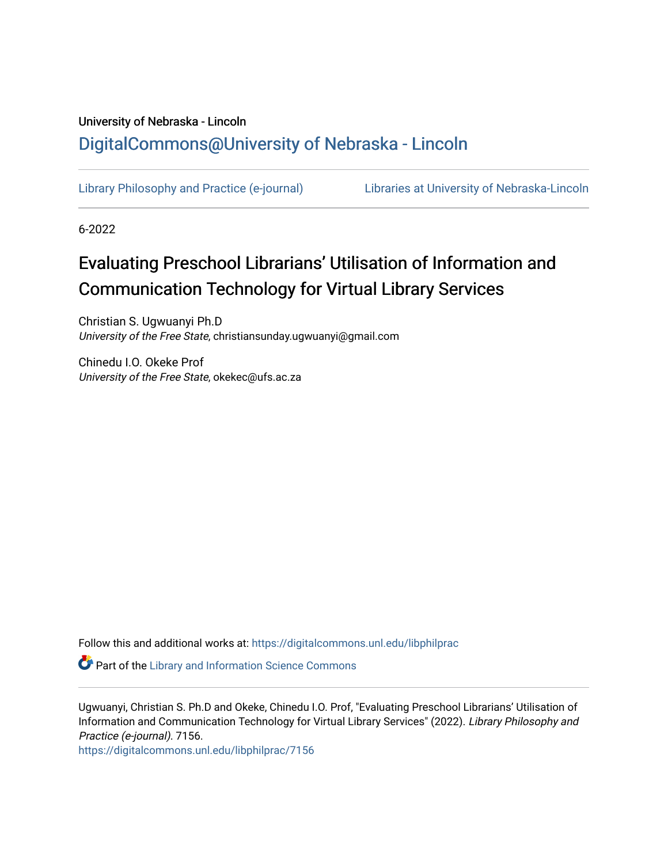# University of Nebraska - Lincoln [DigitalCommons@University of Nebraska - Lincoln](https://digitalcommons.unl.edu/)

[Library Philosophy and Practice \(e-journal\)](https://digitalcommons.unl.edu/libphilprac) [Libraries at University of Nebraska-Lincoln](https://digitalcommons.unl.edu/libraries) 

6-2022

# Evaluating Preschool Librarians' Utilisation of Information and **Communication Technology for Virtual Library Services**

Christian S. Ugwuanyi Ph.D University of the Free State, christiansunday.ugwuanyi@gmail.com

Chinedu I.O. Okeke Prof University of the Free State, okekec@ufs.ac.za

Follow this and additional works at: [https://digitalcommons.unl.edu/libphilprac](https://digitalcommons.unl.edu/libphilprac?utm_source=digitalcommons.unl.edu%2Flibphilprac%2F7156&utm_medium=PDF&utm_campaign=PDFCoverPages) 

**Part of the Library and Information Science Commons** 

Ugwuanyi, Christian S. Ph.D and Okeke, Chinedu I.O. Prof, "Evaluating Preschool Librarians' Utilisation of Information and Communication Technology for Virtual Library Services" (2022). Library Philosophy and Practice (e-journal). 7156.

[https://digitalcommons.unl.edu/libphilprac/7156](https://digitalcommons.unl.edu/libphilprac/7156?utm_source=digitalcommons.unl.edu%2Flibphilprac%2F7156&utm_medium=PDF&utm_campaign=PDFCoverPages)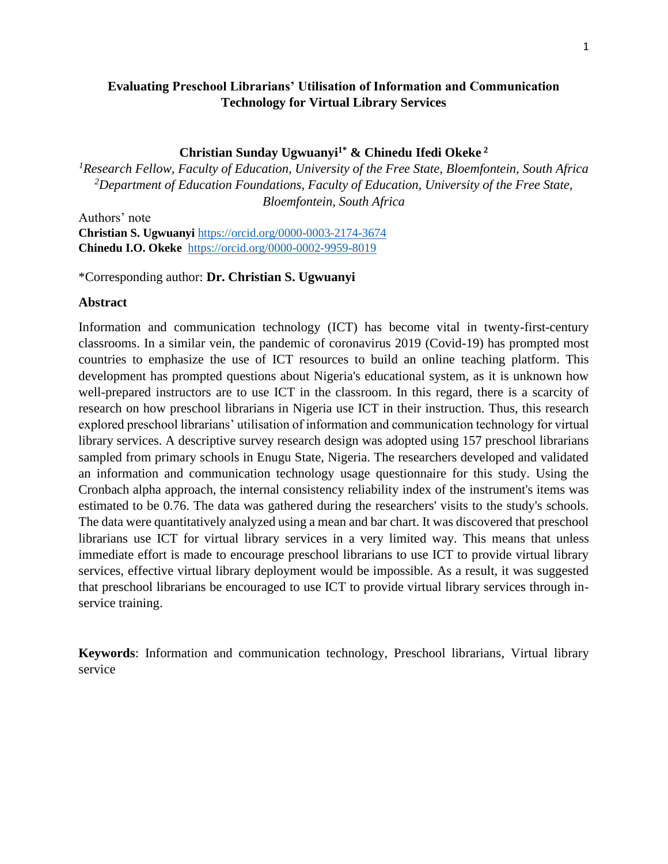# **Evaluating Preschool Librarians' Utilisation of Information and Communication Technology for Virtual Library Services**

## **Christian Sunday Ugwuanyi1\* & Chinedu Ifedi Okeke <sup>2</sup>**

*<sup>1</sup>Research Fellow, Faculty of Education, University of the Free State, Bloemfontein, South Africa <sup>2</sup>Department of Education Foundations, Faculty of Education, University of the Free State, Bloemfontein, South Africa*

Authors' note **Christian S. Ugwuanyi** <https://orcid.org/0000-0003-2174-3674> **Chinedu I.O. Okeke** <https://orcid.org/0000-0002-9959-8019>

\*Corresponding author: **Dr. Christian S. Ugwuanyi**

#### **Abstract**

Information and communication technology (ICT) has become vital in twenty-first-century classrooms. In a similar vein, the pandemic of coronavirus 2019 (Covid-19) has prompted most countries to emphasize the use of ICT resources to build an online teaching platform. This development has prompted questions about Nigeria's educational system, as it is unknown how well-prepared instructors are to use ICT in the classroom. In this regard, there is a scarcity of research on how preschool librarians in Nigeria use ICT in their instruction. Thus, this research explored preschool librarians' utilisation of information and communication technology for virtual library services. A descriptive survey research design was adopted using 157 preschool librarians sampled from primary schools in Enugu State, Nigeria. The researchers developed and validated an information and communication technology usage questionnaire for this study. Using the Cronbach alpha approach, the internal consistency reliability index of the instrument's items was estimated to be 0.76. The data was gathered during the researchers' visits to the study's schools. The data were quantitatively analyzed using a mean and bar chart. It was discovered that preschool librarians use ICT for virtual library services in a very limited way. This means that unless immediate effort is made to encourage preschool librarians to use ICT to provide virtual library services, effective virtual library deployment would be impossible. As a result, it was suggested that preschool librarians be encouraged to use ICT to provide virtual library services through inservice training.

**Keywords**: Information and communication technology, Preschool librarians, Virtual library service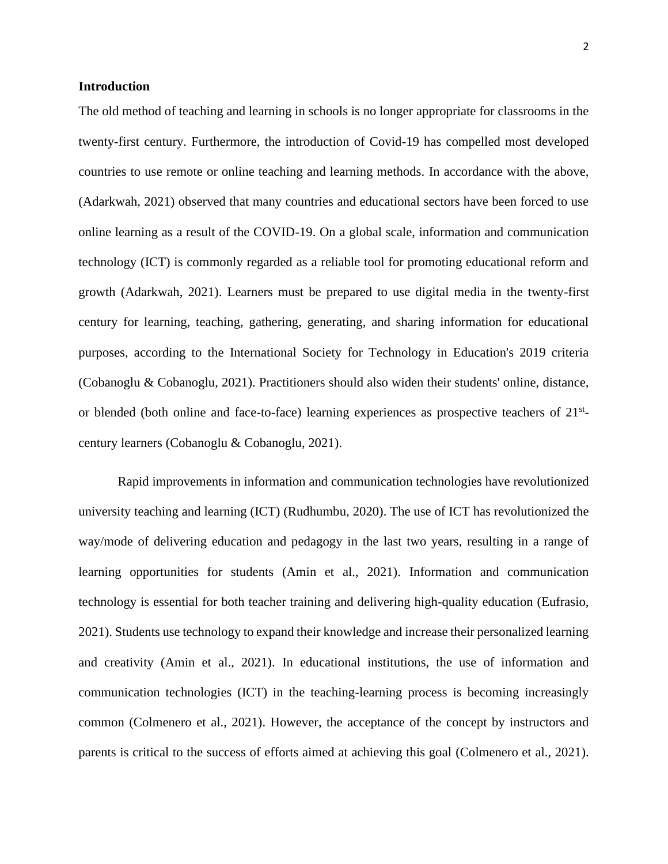#### **Introduction**

The old method of teaching and learning in schools is no longer appropriate for classrooms in the twenty-first century. Furthermore, the introduction of Covid-19 has compelled most developed countries to use remote or online teaching and learning methods. In accordance with the above, (Adarkwah, 2021) observed that many countries and educational sectors have been forced to use online learning as a result of the COVID-19. On a global scale, information and communication technology (ICT) is commonly regarded as a reliable tool for promoting educational reform and growth (Adarkwah, 2021). Learners must be prepared to use digital media in the twenty-first century for learning, teaching, gathering, generating, and sharing information for educational purposes, according to the International Society for Technology in Education's 2019 criteria (Cobanoglu & Cobanoglu, 2021). Practitioners should also widen their students' online, distance, or blended (both online and face-to-face) learning experiences as prospective teachers of 21<sup>st</sup>century learners (Cobanoglu & Cobanoglu, 2021).

Rapid improvements in information and communication technologies have revolutionized university teaching and learning (ICT) (Rudhumbu, 2020). The use of ICT has revolutionized the way/mode of delivering education and pedagogy in the last two years, resulting in a range of learning opportunities for students (Amin et al., 2021). Information and communication technology is essential for both teacher training and delivering high-quality education (Eufrasio, 2021). Students use technology to expand their knowledge and increase their personalized learning and creativity (Amin et al., 2021). In educational institutions, the use of information and communication technologies (ICT) in the teaching-learning process is becoming increasingly common (Colmenero et al., 2021). However, the acceptance of the concept by instructors and parents is critical to the success of efforts aimed at achieving this goal (Colmenero et al., 2021).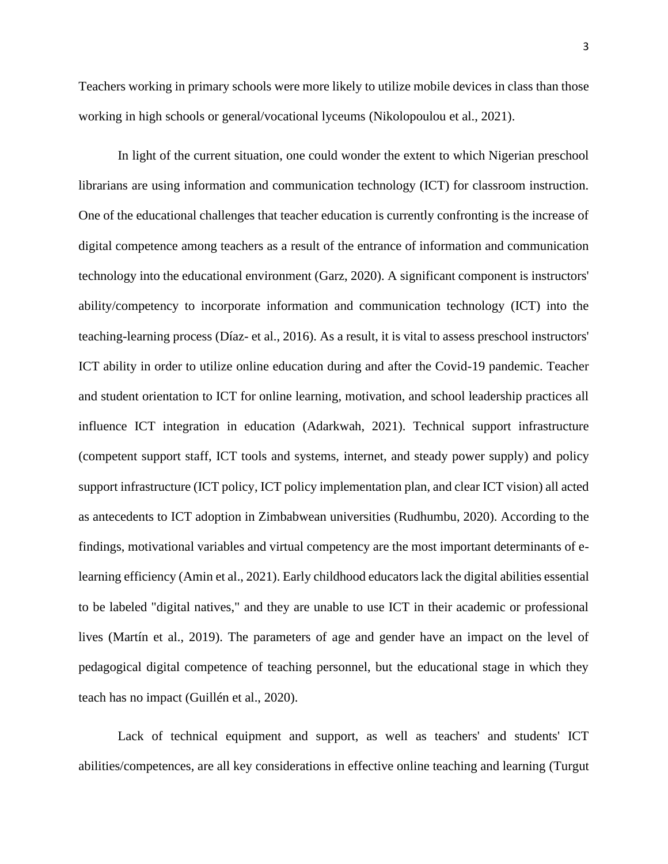Teachers working in primary schools were more likely to utilize mobile devices in class than those working in high schools or general/vocational lyceums (Nikolopoulou et al., 2021).

In light of the current situation, one could wonder the extent to which Nigerian preschool librarians are using information and communication technology (ICT) for classroom instruction. One of the educational challenges that teacher education is currently confronting is the increase of digital competence among teachers as a result of the entrance of information and communication technology into the educational environment (Garz, 2020). A significant component is instructors' ability/competency to incorporate information and communication technology (ICT) into the teaching-learning process (Díaz- et al., 2016). As a result, it is vital to assess preschool instructors' ICT ability in order to utilize online education during and after the Covid-19 pandemic. Teacher and student orientation to ICT for online learning, motivation, and school leadership practices all influence ICT integration in education (Adarkwah, 2021). Technical support infrastructure (competent support staff, ICT tools and systems, internet, and steady power supply) and policy support infrastructure (ICT policy, ICT policy implementation plan, and clear ICT vision) all acted as antecedents to ICT adoption in Zimbabwean universities (Rudhumbu, 2020). According to the findings, motivational variables and virtual competency are the most important determinants of elearning efficiency (Amin et al., 2021). Early childhood educators lack the digital abilities essential to be labeled "digital natives," and they are unable to use ICT in their academic or professional lives (Martín et al., 2019). The parameters of age and gender have an impact on the level of pedagogical digital competence of teaching personnel, but the educational stage in which they teach has no impact (Guillén et al., 2020).

Lack of technical equipment and support, as well as teachers' and students' ICT abilities/competences, are all key considerations in effective online teaching and learning (Turgut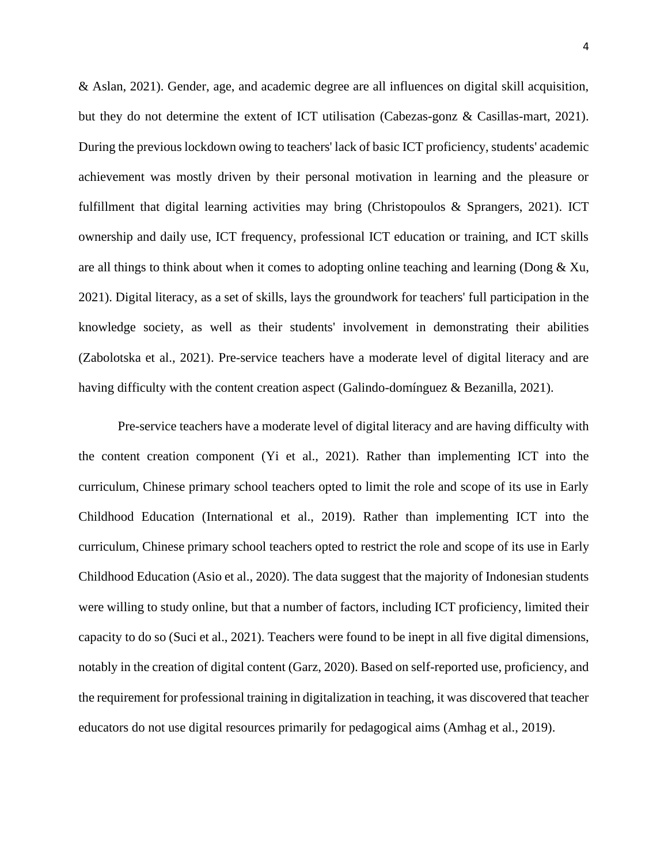& Aslan, 2021). Gender, age, and academic degree are all influences on digital skill acquisition, but they do not determine the extent of ICT utilisation (Cabezas-gonz & Casillas-mart, 2021). During the previous lockdown owing to teachers' lack of basic ICT proficiency, students' academic achievement was mostly driven by their personal motivation in learning and the pleasure or fulfillment that digital learning activities may bring (Christopoulos & Sprangers, 2021). ICT ownership and daily use, ICT frequency, professional ICT education or training, and ICT skills are all things to think about when it comes to adopting online teaching and learning (Dong  $\&$  Xu, 2021). Digital literacy, as a set of skills, lays the groundwork for teachers' full participation in the knowledge society, as well as their students' involvement in demonstrating their abilities (Zabolotska et al., 2021). Pre-service teachers have a moderate level of digital literacy and are having difficulty with the content creation aspect (Galindo-domínguez & Bezanilla, 2021).

Pre-service teachers have a moderate level of digital literacy and are having difficulty with the content creation component (Yi et al., 2021). Rather than implementing ICT into the curriculum, Chinese primary school teachers opted to limit the role and scope of its use in Early Childhood Education (International et al., 2019). Rather than implementing ICT into the curriculum, Chinese primary school teachers opted to restrict the role and scope of its use in Early Childhood Education (Asio et al., 2020). The data suggest that the majority of Indonesian students were willing to study online, but that a number of factors, including ICT proficiency, limited their capacity to do so (Suci et al., 2021). Teachers were found to be inept in all five digital dimensions, notably in the creation of digital content (Garz, 2020). Based on self-reported use, proficiency, and the requirement for professional training in digitalization in teaching, it was discovered that teacher educators do not use digital resources primarily for pedagogical aims (Amhag et al., 2019).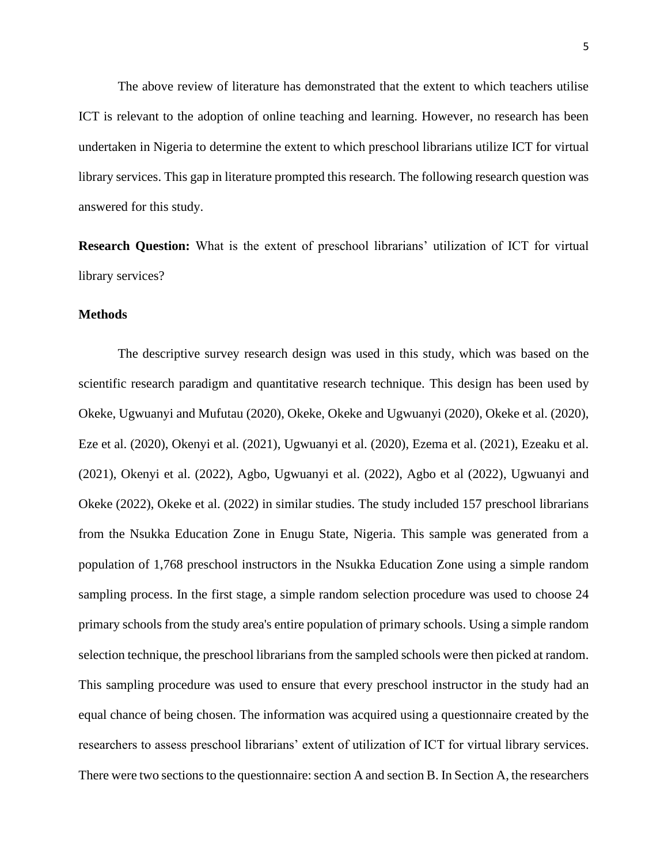The above review of literature has demonstrated that the extent to which teachers utilise ICT is relevant to the adoption of online teaching and learning. However, no research has been undertaken in Nigeria to determine the extent to which preschool librarians utilize ICT for virtual library services. This gap in literature prompted this research. The following research question was answered for this study.

**Research Question:** What is the extent of preschool librarians' utilization of ICT for virtual library services?

#### **Methods**

The descriptive survey research design was used in this study, which was based on the scientific research paradigm and quantitative research technique. This design has been used by Okeke, Ugwuanyi and Mufutau (2020), Okeke, Okeke and Ugwuanyi (2020), Okeke et al. (2020), Eze et al. (2020), Okenyi et al. (2021), Ugwuanyi et al. (2020), Ezema et al. (2021), Ezeaku et al. (2021), Okenyi et al. (2022), Agbo, Ugwuanyi et al. (2022), Agbo et al (2022), Ugwuanyi and Okeke (2022), Okeke et al. (2022) in similar studies. The study included 157 preschool librarians from the Nsukka Education Zone in Enugu State, Nigeria. This sample was generated from a population of 1,768 preschool instructors in the Nsukka Education Zone using a simple random sampling process. In the first stage, a simple random selection procedure was used to choose 24 primary schools from the study area's entire population of primary schools. Using a simple random selection technique, the preschool librarians from the sampled schools were then picked at random. This sampling procedure was used to ensure that every preschool instructor in the study had an equal chance of being chosen. The information was acquired using a questionnaire created by the researchers to assess preschool librarians' extent of utilization of ICT for virtual library services. There were two sections to the questionnaire: section A and section B. In Section A, the researchers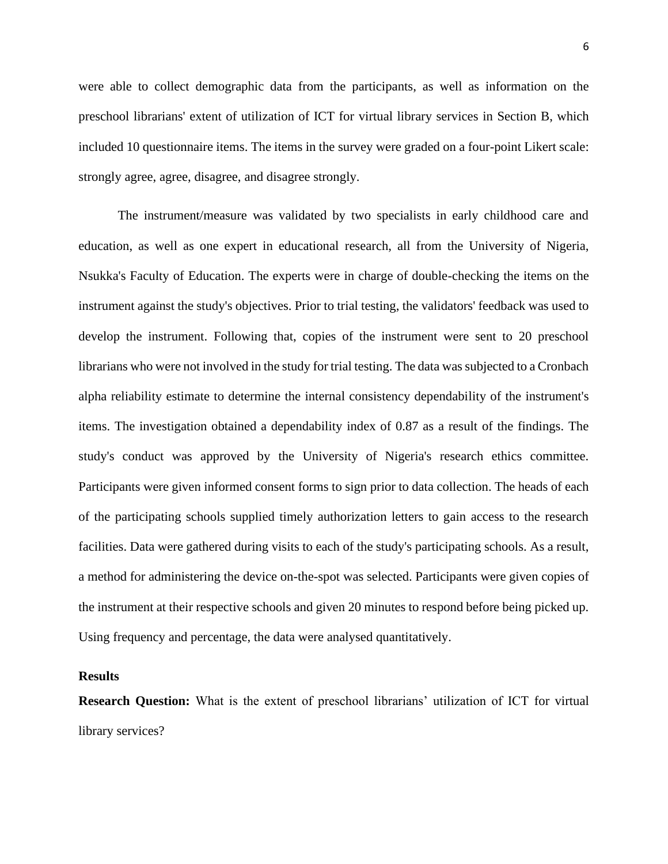were able to collect demographic data from the participants, as well as information on the preschool librarians' extent of utilization of ICT for virtual library services in Section B, which included 10 questionnaire items. The items in the survey were graded on a four-point Likert scale: strongly agree, agree, disagree, and disagree strongly.

The instrument/measure was validated by two specialists in early childhood care and education, as well as one expert in educational research, all from the University of Nigeria, Nsukka's Faculty of Education. The experts were in charge of double-checking the items on the instrument against the study's objectives. Prior to trial testing, the validators' feedback was used to develop the instrument. Following that, copies of the instrument were sent to 20 preschool librarians who were not involved in the study for trial testing. The data was subjected to a Cronbach alpha reliability estimate to determine the internal consistency dependability of the instrument's items. The investigation obtained a dependability index of 0.87 as a result of the findings. The study's conduct was approved by the University of Nigeria's research ethics committee. Participants were given informed consent forms to sign prior to data collection. The heads of each of the participating schools supplied timely authorization letters to gain access to the research facilities. Data were gathered during visits to each of the study's participating schools. As a result, a method for administering the device on-the-spot was selected. Participants were given copies of the instrument at their respective schools and given 20 minutes to respond before being picked up. Using frequency and percentage, the data were analysed quantitatively.

#### **Results**

**Research Question:** What is the extent of preschool librarians' utilization of ICT for virtual library services?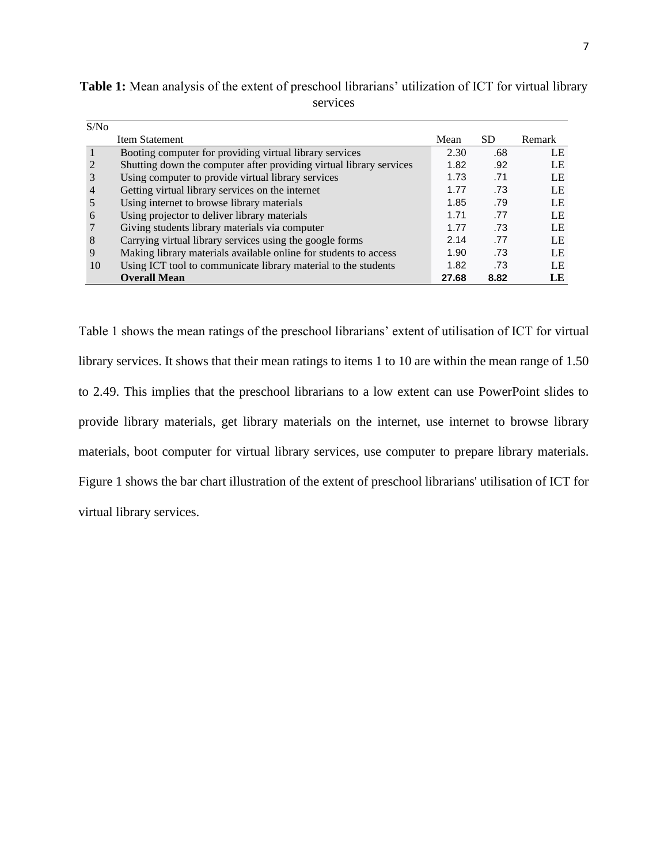| S/N <sub>0</sub> |                                                                     |       |      |        |
|------------------|---------------------------------------------------------------------|-------|------|--------|
|                  | Item Statement                                                      | Mean  | SD   | Remark |
|                  | Booting computer for providing virtual library services             | 2.30  | .68  | LE     |
|                  | Shutting down the computer after providing virtual library services | 1.82  | .92  | LE.    |
|                  | Using computer to provide virtual library services                  | 1.73  | .71  | LE     |
| 4                | Getting virtual library services on the internet                    | 1.77  | .73  | LE     |
|                  | Using internet to browse library materials                          | 1.85  | .79  | LE     |
| 6                | Using projector to deliver library materials                        | 1.71  | .77  | LE.    |
|                  | Giving students library materials via computer                      | 1.77  | .73  | LE.    |
| 8                | Carrying virtual library services using the google forms            | 2.14  | .77  | LE     |
| 9                | Making library materials available online for students to access    | 1.90  | .73  | LE     |
| 10               | Using ICT tool to communicate library material to the students      | 1.82  | .73  | LE     |
|                  | <b>Overall Mean</b>                                                 | 27.68 | 8.82 | LE     |

**Table 1:** Mean analysis of the extent of preschool librarians' utilization of ICT for virtual library services

Table 1 shows the mean ratings of the preschool librarians' extent of utilisation of ICT for virtual library services. It shows that their mean ratings to items 1 to 10 are within the mean range of 1.50 to 2.49. This implies that the preschool librarians to a low extent can use PowerPoint slides to provide library materials, get library materials on the internet, use internet to browse library materials, boot computer for virtual library services, use computer to prepare library materials. Figure 1 shows the bar chart illustration of the extent of preschool librarians' utilisation of ICT for virtual library services.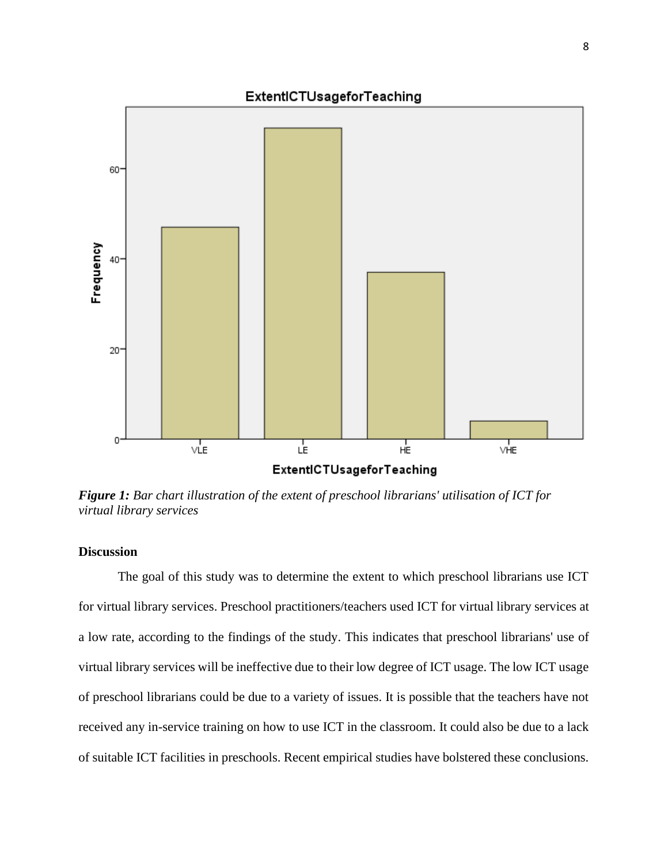

*Figure 1: Bar chart illustration of the extent of preschool librarians' utilisation of ICT for virtual library services*

#### **Discussion**

The goal of this study was to determine the extent to which preschool librarians use ICT for virtual library services. Preschool practitioners/teachers used ICT for virtual library services at a low rate, according to the findings of the study. This indicates that preschool librarians' use of virtual library services will be ineffective due to their low degree of ICT usage. The low ICT usage of preschool librarians could be due to a variety of issues. It is possible that the teachers have not received any in-service training on how to use ICT in the classroom. It could also be due to a lack of suitable ICT facilities in preschools. Recent empirical studies have bolstered these conclusions.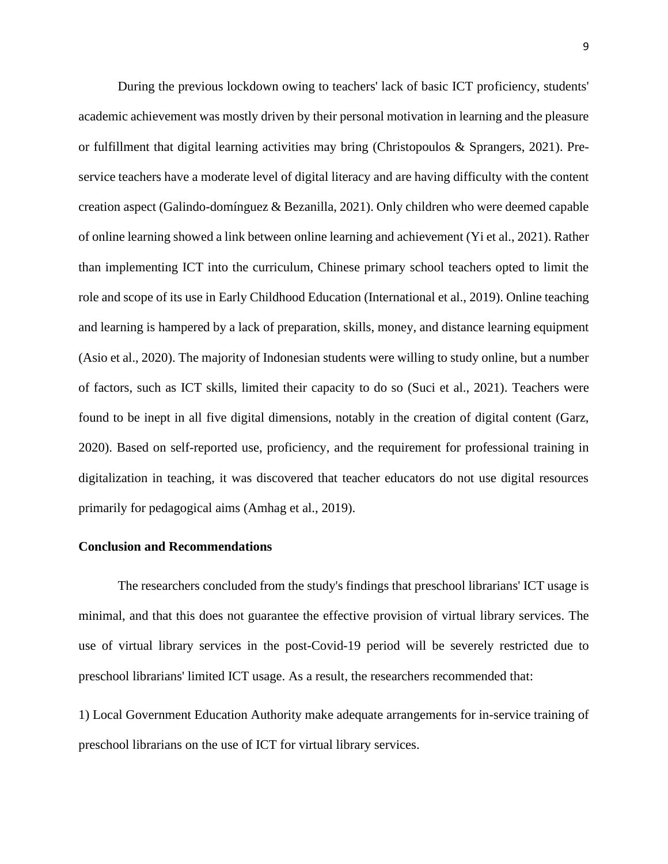During the previous lockdown owing to teachers' lack of basic ICT proficiency, students' academic achievement was mostly driven by their personal motivation in learning and the pleasure or fulfillment that digital learning activities may bring (Christopoulos & Sprangers, 2021). Preservice teachers have a moderate level of digital literacy and are having difficulty with the content creation aspect (Galindo-domínguez & Bezanilla, 2021). Only children who were deemed capable of online learning showed a link between online learning and achievement (Yi et al., 2021). Rather than implementing ICT into the curriculum, Chinese primary school teachers opted to limit the role and scope of its use in Early Childhood Education (International et al., 2019). Online teaching and learning is hampered by a lack of preparation, skills, money, and distance learning equipment (Asio et al., 2020). The majority of Indonesian students were willing to study online, but a number of factors, such as ICT skills, limited their capacity to do so (Suci et al., 2021). Teachers were found to be inept in all five digital dimensions, notably in the creation of digital content (Garz, 2020). Based on self-reported use, proficiency, and the requirement for professional training in digitalization in teaching, it was discovered that teacher educators do not use digital resources primarily for pedagogical aims (Amhag et al., 2019).

#### **Conclusion and Recommendations**

The researchers concluded from the study's findings that preschool librarians' ICT usage is minimal, and that this does not guarantee the effective provision of virtual library services. The use of virtual library services in the post-Covid-19 period will be severely restricted due to preschool librarians' limited ICT usage. As a result, the researchers recommended that:

1) Local Government Education Authority make adequate arrangements for in-service training of preschool librarians on the use of ICT for virtual library services.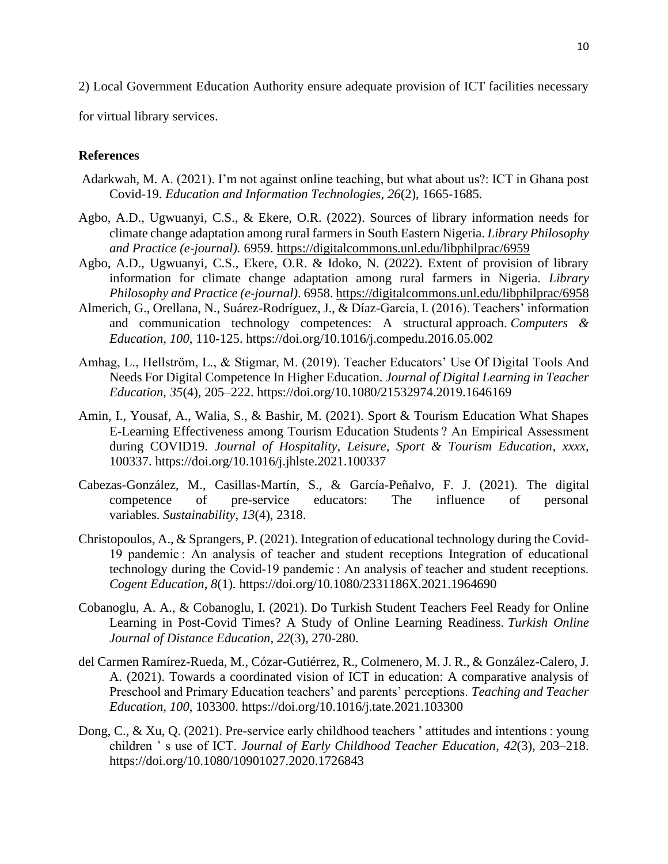2) Local Government Education Authority ensure adequate provision of ICT facilities necessary

for virtual library services.

### **References**

- Adarkwah, M. A. (2021). I'm not against online teaching, but what about us?: ICT in Ghana post Covid-19. *Education and Information Technologies*, *26*(2), 1665-1685.
- Agbo, A.D., Ugwuanyi, C.S., & Ekere, O.R. (2022). Sources of library information needs for climate change adaptation among rural farmers in South Eastern Nigeria. *Library Philosophy and Practice (e-journal).* 6959.<https://digitalcommons.unl.edu/libphilprac/6959>
- Agbo, A.D., Ugwuanyi, C.S., Ekere, O.R. & Idoko, N. (2022). Extent of provision of library information for climate change adaptation among rural farmers in Nigeria. *Library Philosophy and Practice (e-journal)*. 6958.<https://digitalcommons.unl.edu/libphilprac/6958>
- Almerich, G., Orellana, N., Suárez-Rodríguez, J., & Díaz-García, I. (2016). Teachers' information and communication technology competences: A structural approach. *Computers & Education*, *100*, 110-125. https://doi.org/10.1016/j.compedu.2016.05.002
- Amhag, L., Hellström, L., & Stigmar, M. (2019). Teacher Educators' Use Of Digital Tools And Needs For Digital Competence In Higher Education. *Journal of Digital Learning in Teacher Education*, *35*(4), 205–222. https://doi.org/10.1080/21532974.2019.1646169
- Amin, I., Yousaf, A., Walia, S., & Bashir, M. (2021). Sport & Tourism Education What Shapes E-Learning Effectiveness among Tourism Education Students ? An Empirical Assessment during COVID19. *Journal of Hospitality, Leisure, Sport & Tourism Education*, *xxxx*, 100337. https://doi.org/10.1016/j.jhlste.2021.100337
- Cabezas-González, M., Casillas-Martín, S., & García-Peñalvo, F. J. (2021). The digital competence of pre-service educators: The influence of personal variables. *Sustainability*, *13*(4), 2318.
- Christopoulos, A., & Sprangers, P. (2021). Integration of educational technology during the Covid-19 pandemic : An analysis of teacher and student receptions Integration of educational technology during the Covid-19 pandemic : An analysis of teacher and student receptions. *Cogent Education*, *8*(1). https://doi.org/10.1080/2331186X.2021.1964690
- Cobanoglu, A. A., & Cobanoglu, I. (2021). Do Turkish Student Teachers Feel Ready for Online Learning in Post-Covid Times? A Study of Online Learning Readiness. *Turkish Online Journal of Distance Education*, *22*(3), 270-280.
- del Carmen Ramírez-Rueda, M., Cózar-Gutiérrez, R., Colmenero, M. J. R., & González-Calero, J. A. (2021). Towards a coordinated vision of ICT in education: A comparative analysis of Preschool and Primary Education teachers' and parents' perceptions. *Teaching and Teacher Education*, *100*, 103300. https://doi.org/10.1016/j.tate.2021.103300
- Dong, C., & Xu, Q. (2021). Pre-service early childhood teachers ' attitudes and intentions : young children ' s use of ICT. *Journal of Early Childhood Teacher Education*, *42*(3), 203–218. https://doi.org/10.1080/10901027.2020.1726843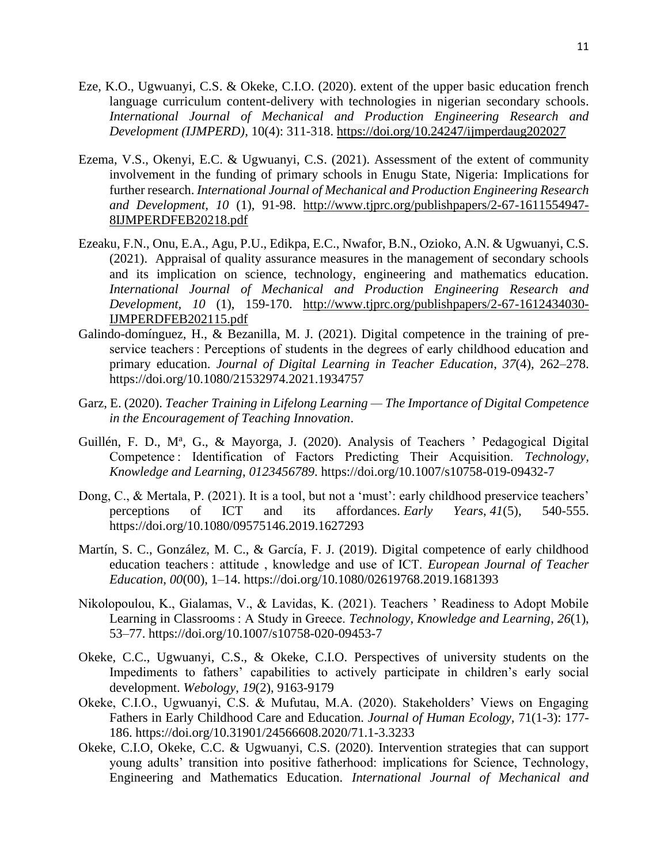- Eze, K.O., Ugwuanyi, C.S. & Okeke, C.I.O. (2020). extent of the upper basic [education](http://www.tjprc.org/view_paper.php?id=14168) french language curriculum [content-delivery](http://www.tjprc.org/view_paper.php?id=14168) with technologies in nigerian secondary schools. *International Journal of Mechanical and Production Engineering Research and Development (IJMPERD),* 10(4): 311-318.<https://doi.org/10.24247/ijmperdaug202027>
- Ezema, V.S., Okenyi, E.C. & Ugwuanyi, C.S. (2021). Assessment of the extent of community involvement in the funding of primary schools in Enugu State, Nigeria: Implications for further research. *International Journal of Mechanical and Production Engineering Research and Development, 10* (1), 91-98. [http://www.tjprc.org/publishpapers/2-67-1611554947-](http://www.tjprc.org/publishpapers/2-67-1611554947-8IJMPERDFEB20218.pdf) [8IJMPERDFEB20218.pdf](http://www.tjprc.org/publishpapers/2-67-1611554947-8IJMPERDFEB20218.pdf)
- Ezeaku, F.N., Onu, E.A., Agu, P.U., Edikpa, E.C., Nwafor, B.N., Ozioko, A.N. & Ugwuanyi, C.S. (2021). Appraisal of quality assurance measures in the management of secondary schools and its implication on science, technology, engineering and mathematics education. *International Journal of Mechanical and Production Engineering Research and Development, 10* (1), 159-170. [http://www.tjprc.org/publishpapers/2-67-1612434030-](http://www.tjprc.org/publishpapers/2-67-1612434030-IJMPERDFEB202115.pdf) [IJMPERDFEB202115.pdf](http://www.tjprc.org/publishpapers/2-67-1612434030-IJMPERDFEB202115.pdf)
- Galindo-domínguez, H., & Bezanilla, M. J. (2021). Digital competence in the training of preservice teachers : Perceptions of students in the degrees of early childhood education and primary education. *Journal of Digital Learning in Teacher Education*, *37*(4), 262–278. https://doi.org/10.1080/21532974.2021.1934757
- Garz, E. (2020). *Teacher Training in Lifelong Learning — The Importance of Digital Competence in the Encouragement of Teaching Innovation*.
- Guillén, F. D., Mª, G., & Mayorga, J. (2020). Analysis of Teachers ' Pedagogical Digital Competence : Identification of Factors Predicting Their Acquisition. *Technology, Knowledge and Learning*, *0123456789*. https://doi.org/10.1007/s10758-019-09432-7
- Dong, C., & Mertala, P. (2021). It is a tool, but not a 'must': early childhood preservice teachers' perceptions of ICT and its affordances. *Early Years*, *41*(5), 540-555. https://doi.org/10.1080/09575146.2019.1627293
- Martín, S. C., González, M. C., & García, F. J. (2019). Digital competence of early childhood education teachers : attitude , knowledge and use of ICT. *European Journal of Teacher Education*, *00*(00), 1–14. https://doi.org/10.1080/02619768.2019.1681393
- Nikolopoulou, K., Gialamas, V., & Lavidas, K. (2021). Teachers ' Readiness to Adopt Mobile Learning in Classrooms : A Study in Greece. *Technology, Knowledge and Learning*, *26*(1), 53–77. https://doi.org/10.1007/s10758-020-09453-7
- Okeke, C.C., Ugwuanyi, C.S., & Okeke, C.I.O. Perspectives of university students on the Impediments to fathers' capabilities to actively participate in children's early social development. *Webology*, *19*(2), 9163-9179
- Okeke, C.I.O., Ugwuanyi, C.S. & Mufutau, M.A. (2020). Stakeholders' Views on Engaging Fathers in Early Childhood Care and Education. *Journal of Human Ecology,* 71(1-3): 177- 186. https://doi.org/10.31901/24566608.2020/71.1-3.3233
- Okeke, C.I.O, Okeke, C.C. & Ugwuanyi, C.S. (2020). Intervention strategies that can support young adults' transition into positive fatherhood: implications for Science, Technology, Engineering and Mathematics Education. *International Journal of Mechanical and*